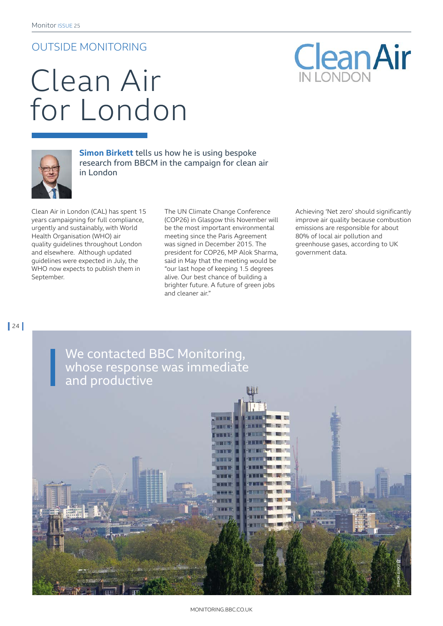## OUTSIDE MONITORING

## Clean Air for London



**Simon Birkett** tells us how he is using bespoke research from BBCM in the campaign for clean air in London

Clean Air in London (CAL) has spent 15 years campaigning for full compliance, urgently and sustainably, with World Health Organisation (WHO) air quality guidelines throughout London and elsewhere. Although updated guidelines were expected in July, the WHO now expects to publish them in September.

The UN Climate Change Conference (COP26) in Glasgow this November will be the most important environmental meeting since the Paris Agreement was signed in December 2015. The president for COP26, MP Alok Sharma, said in May that the meeting would be "our last hope of keeping 1.5 degrees alive. Our best chance of building a brighter future. A future of green jobs and cleaner air."

Achieving 'Net zero' should significantly improve air quality because combustion emissions are responsible for about 80% of local air pollution and greenhouse gases, according to UK government data.

 $\vert$  24 $\vert$